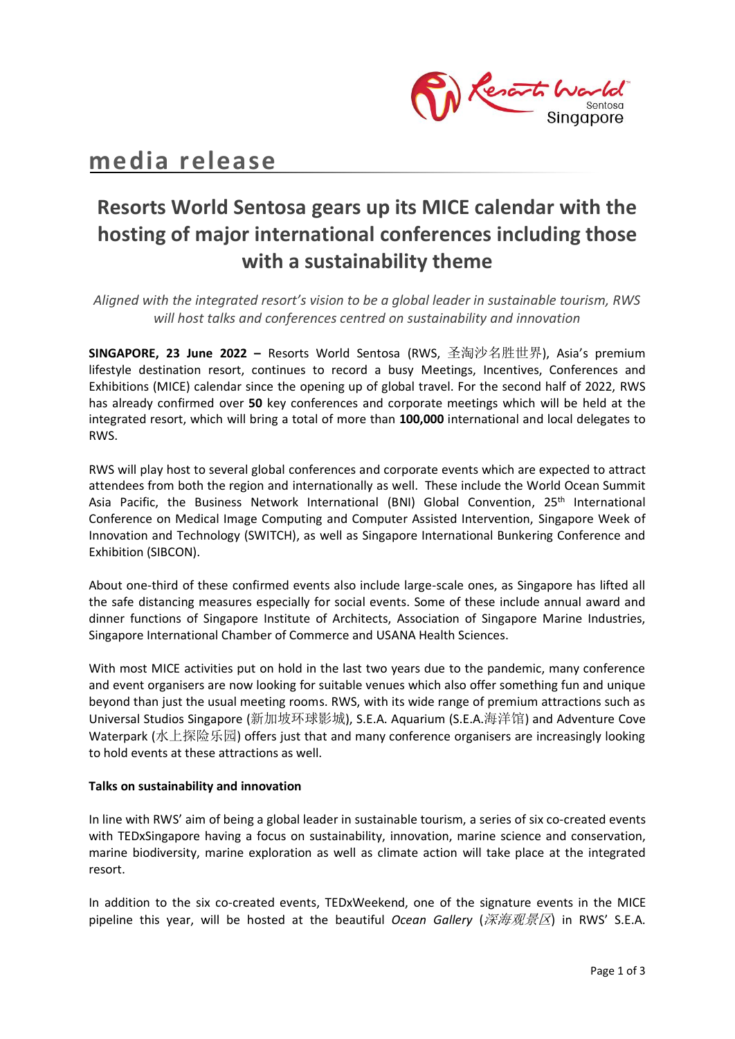

# **media release**

# **Resorts World Sentosa gears up its MICE calendar with the hosting of major international conferences including those with a sustainability theme**

*Aligned with the integrated resort's vision to be a global leader in sustainable tourism, RWS will host talks and conferences centred on sustainability and innovation* 

**SINGAPORE, 23 June 2022 –** Resorts World Sentosa (RWS, 圣淘沙名胜世界), Asia's premium lifestyle destination resort, continues to record a busy Meetings, Incentives, Conferences and Exhibitions (MICE) calendar since the opening up of global travel. For the second half of 2022, RWS has already confirmed over **50** key conferences and corporate meetings which will be held at the integrated resort, which will bring a total of more than **100,000** international and local delegates to RWS.

RWS will play host to several global conferences and corporate events which are expected to attract attendees from both the region and internationally as well. These include the World Ocean Summit Asia Pacific, the Business Network International (BNI) Global Convention, 25<sup>th</sup> International Conference on Medical Image Computing and Computer Assisted Intervention, Singapore Week of Innovation and Technology (SWITCH), as well as Singapore International Bunkering Conference and Exhibition (SIBCON).

About one-third of these confirmed events also include large-scale ones, as Singapore has lifted all the safe distancing measures especially for social events. Some of these include annual award and dinner functions of Singapore Institute of Architects, Association of Singapore Marine Industries, Singapore International Chamber of Commerce and USANA Health Sciences.

With most MICE activities put on hold in the last two years due to the pandemic, many conference and event organisers are now looking for suitable venues which also offer something fun and unique beyond than just the usual meeting rooms. RWS, with its wide range of premium attractions such as Universal Studios Singapore (新加坡环球影城), S.E.A. Aquarium (S.E.A.海洋馆) and Adventure Cove Waterpark (水上探险乐园) offers just that and many conference organisers are increasingly looking to hold events at these attractions as well.

## **Talks on sustainability and innovation**

In line with RWS' aim of being a global leader in sustainable tourism, a series of six co-created events with TEDxSingapore having a focus on sustainability, innovation, marine science and conservation, marine biodiversity, marine exploration as well as climate action will take place at the integrated resort.

In addition to the six co-created events, TEDxWeekend, one of the signature events in the MICE pipeline this year, will be hosted at the beautiful *Ocean Gallery* (深海观景区) in RWS' S.E.A.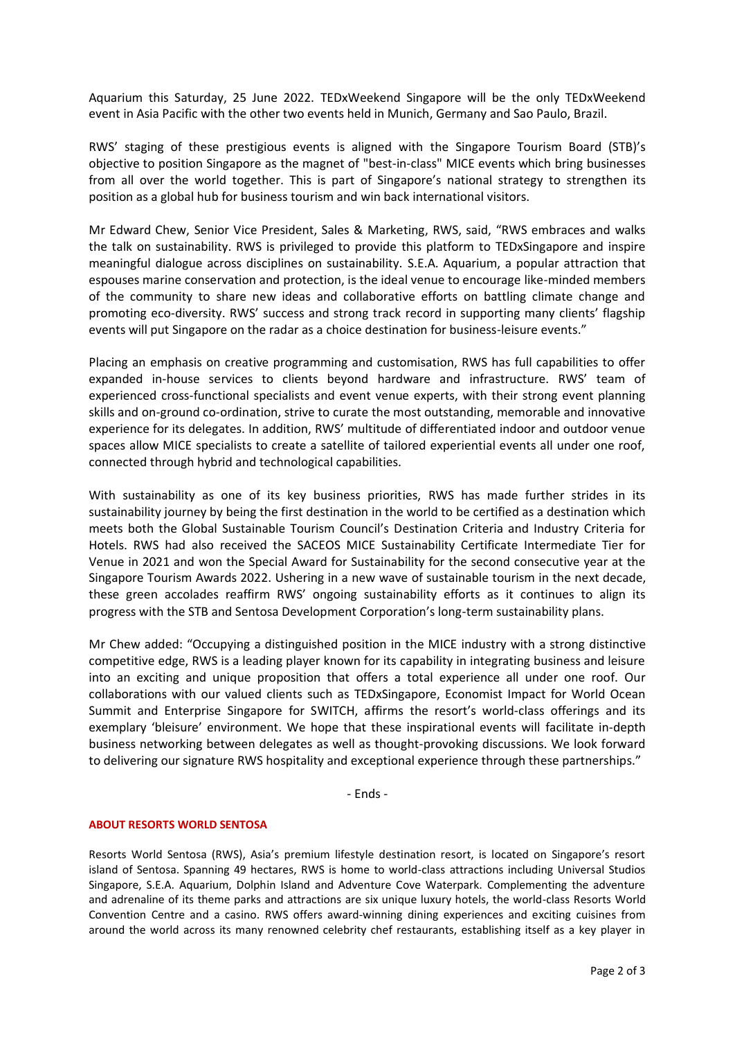Aquarium this Saturday, 25 June 2022. TEDxWeekend Singapore will be the only TEDxWeekend event in Asia Pacific with the other two events held in Munich, Germany and Sao Paulo, Brazil.

RWS' staging of these prestigious events is aligned with the Singapore Tourism Board (STB)'s objective to position Singapore as the magnet of "best-in-class" MICE events which bring businesses from all over the world together. This is part of Singapore's national strategy to strengthen its position as a global hub for business tourism and win back international visitors.

Mr Edward Chew, Senior Vice President, Sales & Marketing, RWS, said, "RWS embraces and walks the talk on sustainability. RWS is privileged to provide this platform to TEDxSingapore and inspire meaningful dialogue across disciplines on sustainability. S.E.A. Aquarium, a popular attraction that espouses marine conservation and protection, is the ideal venue to encourage like-minded members of the community to share new ideas and collaborative efforts on battling climate change and promoting eco-diversity. RWS' success and strong track record in supporting many clients' flagship events will put Singapore on the radar as a choice destination for business-leisure events."

Placing an emphasis on creative programming and customisation, RWS has full capabilities to offer expanded in-house services to clients beyond hardware and infrastructure. RWS' team of experienced cross-functional specialists and event venue experts, with their strong event planning skills and on-ground co-ordination, strive to curate the most outstanding, memorable and innovative experience for its delegates. In addition, RWS' multitude of differentiated indoor and outdoor venue spaces allow MICE specialists to create a satellite of tailored experiential events all under one roof, connected through hybrid and technological capabilities.

With sustainability as one of its key business priorities, RWS has made further strides in its sustainability journey by being the first destination in the world to be certified as a destination which meets both the Global Sustainable Tourism Council's Destination Criteria and Industry Criteria for Hotels. RWS had also received the SACEOS MICE Sustainability Certificate Intermediate Tier for Venue in 2021 and won the Special Award for Sustainability for the second consecutive year at the Singapore Tourism Awards 2022. Ushering in a new wave of sustainable tourism in the next decade, these green accolades reaffirm RWS' ongoing sustainability efforts as it continues to align its progress with the STB and Sentosa Development Corporation's long-term sustainability plans.

Mr Chew added: "Occupying a distinguished position in the MICE industry with a strong distinctive competitive edge, RWS is a leading player known for its capability in integrating business and leisure into an exciting and unique proposition that offers a total experience all under one roof. Our collaborations with our valued clients such as TEDxSingapore, Economist Impact for World Ocean Summit and Enterprise Singapore for SWITCH, affirms the resort's world-class offerings and its exemplary 'bleisure' environment. We hope that these inspirational events will facilitate in-depth business networking between delegates as well as thought-provoking discussions. We look forward to delivering our signature RWS hospitality and exceptional experience through these partnerships."

- Ends -

### **ABOUT RESORTS WORLD SENTOSA**

Resorts World Sentosa (RWS), Asia's premium lifestyle destination resort, is located on Singapore's resort island of Sentosa. Spanning 49 hectares, RWS is home to world-class attractions including Universal Studios Singapore, S.E.A. Aquarium, Dolphin Island and Adventure Cove Waterpark. Complementing the adventure and adrenaline of its theme parks and attractions are six unique luxury hotels, the world-class Resorts World Convention Centre and a casino. RWS offers award-winning dining experiences and exciting cuisines from around the world across its many renowned celebrity chef restaurants, establishing itself as a key player in